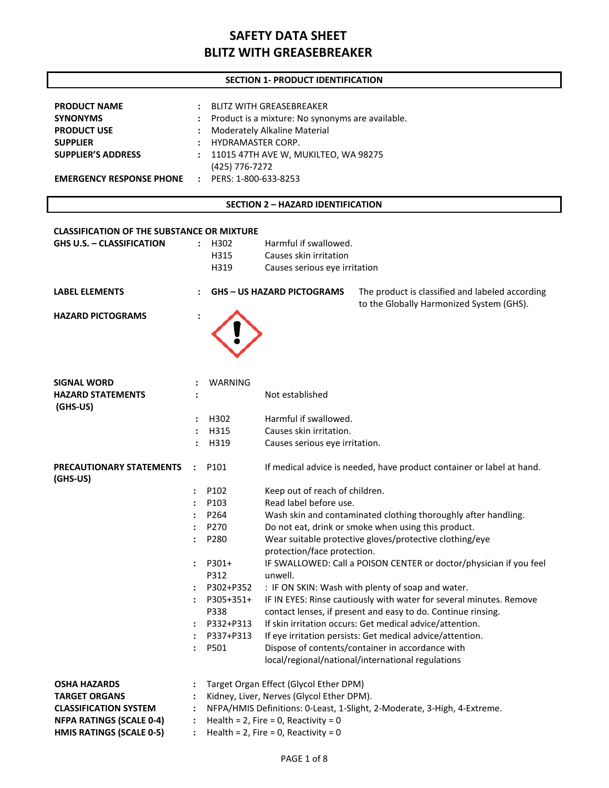### **SECTION 1- PRODUCT IDENTIFICATION**

| <b>PRODUCT NAME</b>                                    | BLITZ WITH GREASEBREAKER                           |
|--------------------------------------------------------|----------------------------------------------------|
| <b>SYNONYMS</b>                                        | : Product is a mixture: No synonyms are available. |
| <b>PRODUCT USE</b>                                     | : Moderately Alkaline Material                     |
| <b>SUPPLIER</b>                                        | : HYDRAMASTER CORP.                                |
| <b>SUPPLIER'S ADDRESS</b>                              | : 11015 47TH AVE W, MUKILTEO, WA 98275             |
|                                                        | (425) 776-7272                                     |
| <b>EMERGENCY RESPONSE PHONE : PERS: 1-800-633-8253</b> |                                                    |

#### **SECTION 2 – HAZARD IDENTIFICATION**

| <b>CLASSIFICATION OF THE SUBSTANCE OR MIXTURE</b><br><b>GHS U.S. - CLASSIFICATION</b> | $\ddot{\phantom{a}}$ | H302<br>H315<br>H319 | Harmful if swallowed.<br>Causes skin irritation<br>Causes serious eye irritation |                                                                          |
|---------------------------------------------------------------------------------------|----------------------|----------------------|----------------------------------------------------------------------------------|--------------------------------------------------------------------------|
| <b>LABEL ELEMENTS</b>                                                                 |                      |                      | <b>GHS - US HAZARD PICTOGRAMS</b>                                                | The product is classified and labeled according                          |
| <b>HAZARD PICTOGRAMS</b>                                                              |                      |                      |                                                                                  | to the Globally Harmonized System (GHS).                                 |
| <b>SIGNAL WORD</b>                                                                    |                      | WARNING              |                                                                                  |                                                                          |
| <b>HAZARD STATEMENTS</b><br>(GHS-US)                                                  |                      |                      | Not established                                                                  |                                                                          |
|                                                                                       |                      | H302                 | Harmful if swallowed.                                                            |                                                                          |
|                                                                                       | $\ddot{\phantom{a}}$ | H315                 | Causes skin irritation.                                                          |                                                                          |
|                                                                                       | $\ddot{\phantom{a}}$ | H319                 | Causes serious eye irritation.                                                   |                                                                          |
| PRECAUTIONARY STATEMENTS<br>(GHS-US)                                                  | $\ddot{\phantom{a}}$ | P101                 |                                                                                  | If medical advice is needed, have product container or label at hand.    |
|                                                                                       |                      | P102                 | Keep out of reach of children.                                                   |                                                                          |
|                                                                                       |                      | P103                 | Read label before use.                                                           |                                                                          |
|                                                                                       |                      | P264                 |                                                                                  | Wash skin and contaminated clothing thoroughly after handling.           |
|                                                                                       |                      | P270                 |                                                                                  | Do not eat, drink or smoke when using this product.                      |
|                                                                                       |                      | P280                 | protection/face protection.                                                      | Wear suitable protective gloves/protective clothing/eye                  |
|                                                                                       |                      | P301+                |                                                                                  | IF SWALLOWED: Call a POISON CENTER or doctor/physician if you feel       |
|                                                                                       |                      | P312                 | unwell.                                                                          |                                                                          |
|                                                                                       |                      | P302+P352            |                                                                                  | : IF ON SKIN: Wash with plenty of soap and water.                        |
|                                                                                       |                      | P305+351+            |                                                                                  | IF IN EYES: Rinse cautiously with water for several minutes. Remove      |
|                                                                                       |                      | P338                 |                                                                                  | contact lenses, if present and easy to do. Continue rinsing.             |
|                                                                                       |                      | P332+P313            |                                                                                  | If skin irritation occurs: Get medical advice/attention.                 |
|                                                                                       |                      | P337+P313            |                                                                                  | If eye irritation persists: Get medical advice/attention.                |
|                                                                                       |                      | P501                 |                                                                                  | Dispose of contents/container in accordance with                         |
|                                                                                       |                      |                      |                                                                                  | local/regional/national/international regulations                        |
| <b>OSHA HAZARDS</b>                                                                   |                      |                      | Target Organ Effect (Glycol Ether DPM)                                           |                                                                          |
| <b>TARGET ORGANS</b>                                                                  |                      |                      | Kidney, Liver, Nerves (Glycol Ether DPM).                                        |                                                                          |
| <b>CLASSIFICATION SYSTEM</b>                                                          |                      |                      |                                                                                  | NFPA/HMIS Definitions: 0-Least, 1-Slight, 2-Moderate, 3-High, 4-Extreme. |
| <b>NFPA RATINGS (SCALE 0-4)</b>                                                       |                      |                      | Health = $2$ , Fire = 0, Reactivity = 0                                          |                                                                          |
| <b>HMIS RATINGS (SCALE 0-5)</b>                                                       |                      |                      | Health = $2$ , Fire = 0, Reactivity = 0                                          |                                                                          |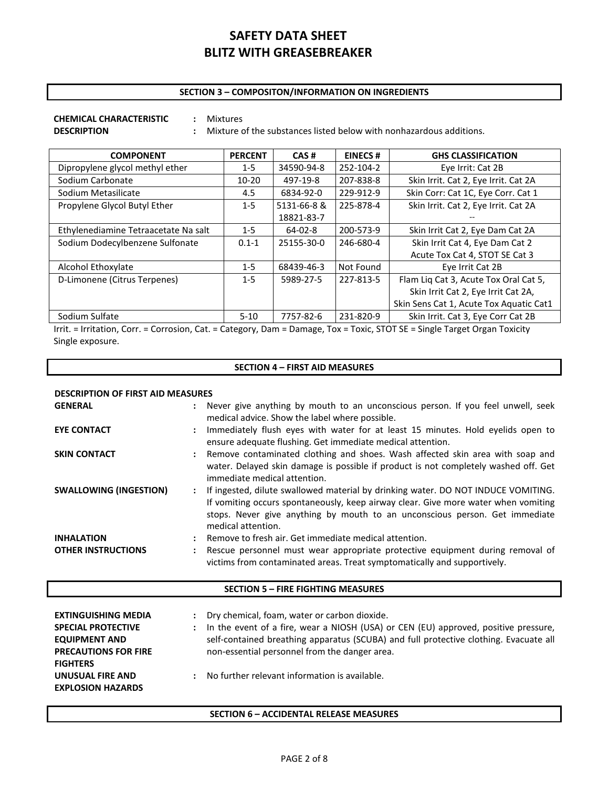### **SECTION 3 – COMPOSITON/INFORMATION ON INGREDIENTS**

# **CHEMICAL CHARACTERISTIC :** Mixtures

**DESCRIPTION :** Mixture of the substances listed below with nonhazardous additions.

| <b>COMPONENT</b>                     | <b>PERCENT</b> | CAS#          | <b>EINECS#</b> | <b>GHS CLASSIFICATION</b>               |
|--------------------------------------|----------------|---------------|----------------|-----------------------------------------|
| Dipropylene glycol methyl ether      | $1 - 5$        | 34590-94-8    | 252-104-2      | Eye Irrit: Cat 2B                       |
| Sodium Carbonate                     | $10 - 20$      | 497-19-8      | 207-838-8      | Skin Irrit. Cat 2, Eye Irrit. Cat 2A    |
| Sodium Metasilicate                  | 4.5            | 6834-92-0     | 229-912-9      | Skin Corr: Cat 1C, Eye Corr. Cat 1      |
| Propylene Glycol Butyl Ether         | $1 - 5$        | 5131-66-8 &   | 225-878-4      | Skin Irrit. Cat 2, Eye Irrit. Cat 2A    |
|                                      |                | 18821-83-7    |                |                                         |
| Ethylenediamine Tetraacetate Na salt | $1 - 5$        | $64 - 02 - 8$ | 200-573-9      | Skin Irrit Cat 2, Eye Dam Cat 2A        |
| Sodium Dodecylbenzene Sulfonate      | $0.1 - 1$      | 25155-30-0    | 246-680-4      | Skin Irrit Cat 4, Eye Dam Cat 2         |
|                                      |                |               |                | Acute Tox Cat 4, STOT SE Cat 3          |
| Alcohol Ethoxylate                   | $1 - 5$        | 68439-46-3    | Not Found      | Eye Irrit Cat 2B                        |
| D-Limonene (Citrus Terpenes)         | $1 - 5$        | 5989-27-5     | 227-813-5      | Flam Liq Cat 3, Acute Tox Oral Cat 5,   |
|                                      |                |               |                | Skin Irrit Cat 2, Eye Irrit Cat 2A,     |
|                                      |                |               |                | Skin Sens Cat 1, Acute Tox Aquatic Cat1 |
| Sodium Sulfate                       | $5 - 10$       | 7757-82-6     | 231-820-9      | Skin Irrit. Cat 3, Eye Corr Cat 2B      |

Irrit. = Irritation, Corr. = Corrosion, Cat. = Category, Dam = Damage, Tox = Toxic, STOT SE = Single Target Organ Toxicity Single exposure.

### **SECTION 4 – FIRST AID MEASURES**

| <b>DESCRIPTION OF FIRST AID MEASURES</b>       |  |                                                                                                                                                                                                                                                                              |  |  |
|------------------------------------------------|--|------------------------------------------------------------------------------------------------------------------------------------------------------------------------------------------------------------------------------------------------------------------------------|--|--|
| <b>GENERAL</b>                                 |  | Never give anything by mouth to an unconscious person. If you feel unwell, seek<br>medical advice. Show the label where possible.                                                                                                                                            |  |  |
| <b>EYE CONTACT</b>                             |  | Immediately flush eyes with water for at least 15 minutes. Hold eyelids open to<br>ensure adequate flushing. Get immediate medical attention.                                                                                                                                |  |  |
| <b>SKIN CONTACT</b>                            |  | Remove contaminated clothing and shoes. Wash affected skin area with soap and<br>water. Delayed skin damage is possible if product is not completely washed off. Get<br>immediate medical attention.                                                                         |  |  |
| <b>SWALLOWING (INGESTION)</b>                  |  | If ingested, dilute swallowed material by drinking water. DO NOT INDUCE VOMITING.<br>If vomiting occurs spontaneously, keep airway clear. Give more water when vomiting<br>stops. Never give anything by mouth to an unconscious person. Get immediate<br>medical attention. |  |  |
| <b>INHALATION</b><br><b>OTHER INSTRUCTIONS</b> |  | Remove to fresh air. Get immediate medical attention.<br>Rescue personnel must wear appropriate protective equipment during removal of<br>victims from contaminated areas. Treat symptomatically and supportively.                                                           |  |  |

### **SECTION 5 – FIRE FIGHTING MEASURES**

| <b>EXTINGUISHING MEDIA</b><br><b>SPECIAL PROTECTIVE</b><br><b>EQUIPMENT AND</b><br><b>PRECAUTIONS FOR FIRE</b><br><b>FIGHTERS</b> | $\mathbf{L}$ | Dry chemical, foam, water or carbon dioxide.<br>In the event of a fire, wear a NIOSH (USA) or CEN (EU) approved, positive pressure,<br>self-contained breathing apparatus (SCUBA) and full protective clothing. Evacuate all<br>non-essential personnel from the danger area. |
|-----------------------------------------------------------------------------------------------------------------------------------|--------------|-------------------------------------------------------------------------------------------------------------------------------------------------------------------------------------------------------------------------------------------------------------------------------|
| UNUSUAL FIRE AND<br><b>EXPLOSION HAZARDS</b>                                                                                      |              | No further relevant information is available.                                                                                                                                                                                                                                 |

#### **SECTION 6 – ACCIDENTAL RELEASE MEASURES**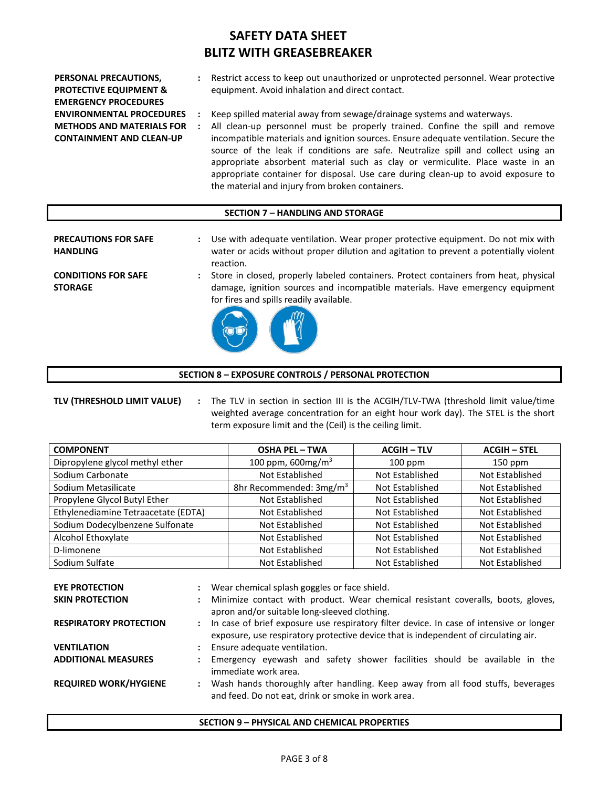| PERSONAL PRECAUTIONS,             | Restrict access to keep out unauthorized or unprotected personnel. Wear protective   |
|-----------------------------------|--------------------------------------------------------------------------------------|
| <b>PROTECTIVE EQUIPMENT &amp;</b> | equipment. Avoid inhalation and direct contact.                                      |
| <b>EMERGENCY PROCEDURES</b>       |                                                                                      |
| <b>ENVIRONMENTAL PROCEDURES</b>   | Keep spilled material away from sewage/drainage systems and waterways.               |
| <b>METHODS AND MATERIALS FOR</b>  | All clean-up personnel must be properly trained. Confine the spill and remove        |
| <b>CONTAINMENT AND CLEAN-UP</b>   | incompatible materials and ignition sources. Ensure adequate ventilation. Secure the |
|                                   | source of the leak if conditions are safe. Neutralize spill and collect using an     |
|                                   | appropriate absorbent material such as clay or vermiculite. Place waste in an        |

#### **SECTION 7 – HANDLING AND STORAGE**

the material and injury from broken containers.

| <b>PRECAUTIONS FOR SAFE</b><br><b>HANDLING</b> |               | Use with adequate ventilation. Wear proper protective equipment. Do not mix with<br>water or acids without proper dilution and agitation to prevent a potentially violent<br>reaction.                           |
|------------------------------------------------|---------------|------------------------------------------------------------------------------------------------------------------------------------------------------------------------------------------------------------------|
| <b>CONDITIONS FOR SAFE</b><br><b>STORAGE</b>   | $\mathcal{L}$ | Store in closed, properly labeled containers. Protect containers from heat, physical<br>damage, ignition sources and incompatible materials. Have emergency equipment<br>for fires and spills readily available. |



**TLV (THRESHOLD LIMIT VALUE) :** The TLV in section in section III is the ACGIH/TLV-TWA (threshold limit value/time weighted average concentration for an eight hour work day). The STEL is the short term exposure limit and the (Ceil) is the ceiling limit.

appropriate container for disposal. Use care during clean-up to avoid exposure to

| <b>COMPONENT</b>                    | <b>OSHA PEL - TWA</b>               | <b>ACGIH-TLV</b> | <b>ACGIH - STEL</b> |
|-------------------------------------|-------------------------------------|------------------|---------------------|
| Dipropylene glycol methyl ether     | 100 ppm, 600mg/m <sup>3</sup>       | $100$ ppm        | $150$ ppm           |
| Sodium Carbonate                    | Not Established                     | Not Established  | Not Established     |
| Sodium Metasilicate                 | 8hr Recommended: 3mg/m <sup>3</sup> | Not Established  | Not Established     |
| Propylene Glycol Butyl Ether        | Not Established                     | Not Established  | Not Established     |
| Ethylenediamine Tetraacetate (EDTA) | Not Established                     | Not Established  | Not Established     |
| Sodium Dodecylbenzene Sulfonate     | Not Established                     | Not Established  | Not Established     |
| Alcohol Ethoxylate                  | Not Established                     | Not Established  | Not Established     |
| D-limonene                          | Not Established                     | Not Established  | Not Established     |
| Sodium Sulfate                      | Not Established                     | Not Established  | Not Established     |

| <b>EYE PROTECTION</b>         |               | : Wear chemical splash goggles or face shield.                                                                                                                                   |
|-------------------------------|---------------|----------------------------------------------------------------------------------------------------------------------------------------------------------------------------------|
| <b>SKIN PROTECTION</b>        | $\mathcal{L}$ | Minimize contact with product. Wear chemical resistant coveralls, boots, gloves,<br>apron and/or suitable long-sleeved clothing.                                                 |
| <b>RESPIRATORY PROTECTION</b> |               | : In case of brief exposure use respiratory filter device. In case of intensive or longer<br>exposure, use respiratory protective device that is independent of circulating air. |
| <b>VENTILATION</b>            |               | Ensure adequate ventilation.                                                                                                                                                     |
| <b>ADDITIONAL MEASURES</b>    |               | Emergency eyewash and safety shower facilities should be available in the<br>immediate work area.                                                                                |
| <b>REQUIRED WORK/HYGIENE</b>  | $\mathbf{L}$  | Wash hands thoroughly after handling. Keep away from all food stuffs, beverages<br>and feed. Do not eat, drink or smoke in work area.                                            |

#### **SECTION 9 – PHYSICAL AND CHEMICAL PROPERTIES**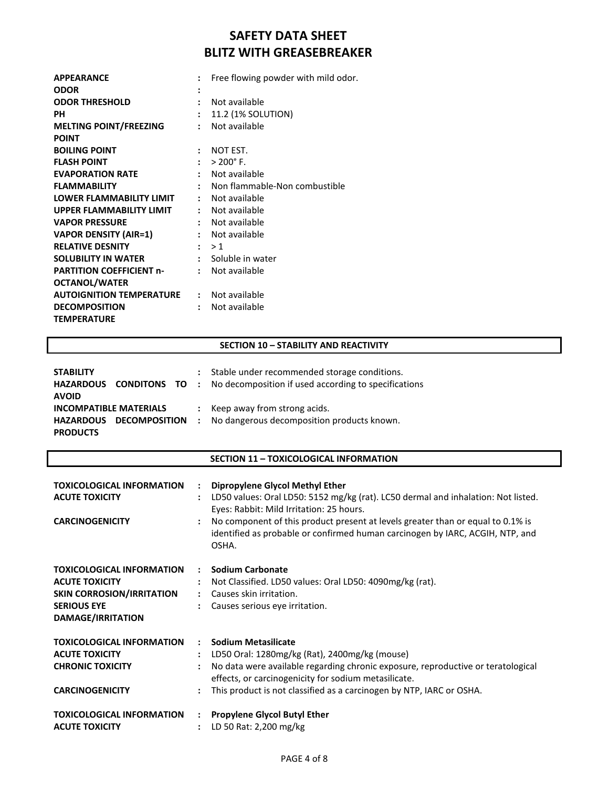| <b>APPEARANCE</b>               |                      | Free flowing powder with mild odor. |
|---------------------------------|----------------------|-------------------------------------|
| <b>ODOR</b>                     |                      |                                     |
| <b>ODOR THRESHOLD</b>           | $\ddot{\phantom{a}}$ | Not available                       |
| PН                              | $\ddot{\phantom{a}}$ | 11.2 (1% SOLUTION)                  |
| <b>MELTING POINT/FREEZING</b>   | ÷                    | Not available                       |
| <b>POINT</b>                    |                      |                                     |
| <b>BOILING POINT</b>            |                      | NOT EST.                            |
| <b>FLASH POINT</b>              | $\mathbf{r}$         | $> 200^{\circ}$ F.                  |
| <b>EVAPORATION RATE</b>         | $\mathbf{r}$         | Not available                       |
| <b>FLAMMABILITY</b>             |                      | Non flammable-Non combustible       |
| LOWER FLAMMABILITY LIMIT        |                      | : Not available                     |
| <b>UPPER FLAMMABILITY LIMIT</b> |                      | Not available                       |
| <b>VAPOR PRESSURE</b>           |                      | : Not available                     |
| <b>VAPOR DENSITY (AIR=1)</b>    |                      | Not available                       |
| <b>RELATIVE DESNITY</b>         |                      | : >1                                |
| <b>SOLUBILITY IN WATER</b>      |                      | : Soluble in water                  |
| <b>PARTITION COEFFICIENT n-</b> | $\ddot{\phantom{a}}$ | Not available                       |
| <b>OCTANOL/WATER</b>            |                      |                                     |
| <b>AUTOIGNITION TEMPERATURE</b> |                      | : Not available                     |
| <b>DECOMPOSITION</b>            | $\ddot{\phantom{a}}$ | Not available                       |
| <b>TEMPERATURE</b>              |                      |                                     |

### **SECTION 10 – STABILITY AND REACTIVITY**

| <b>STABILITY</b>              | : Stable under recommended storage conditions.                                |
|-------------------------------|-------------------------------------------------------------------------------|
|                               | HAZARDOUS CONDITONS TO : No decomposition if used according to specifications |
| <b>AVOID</b>                  |                                                                               |
| <b>INCOMPATIBLE MATERIALS</b> | : Keep away from strong acids.                                                |
| HAZARDOUS DECOMPOSITION       | : No dangerous decomposition products known.                                  |
| <b>PRODUCTS</b>               |                                                                               |

### **SECTION 11 – TOXICOLOGICAL INFORMATION**

| <b>TOXICOLOGICAL INFORMATION</b><br><b>ACUTE TOXICITY</b><br><b>CARCINOGENICITY</b>                                               | $\ddot{\phantom{a}}$<br>$\ddot{\phantom{a}}$ | Dipropylene Glycol Methyl Ether<br>LD50 values: Oral LD50: 5152 mg/kg (rat). LC50 dermal and inhalation: Not listed.<br>Eyes: Rabbit: Mild Irritation: 25 hours.<br>No component of this product present at levels greater than or equal to 0.1% is<br>identified as probable or confirmed human carcinogen by IARC, ACGIH, NTP, and<br>OSHA. |
|-----------------------------------------------------------------------------------------------------------------------------------|----------------------------------------------|-----------------------------------------------------------------------------------------------------------------------------------------------------------------------------------------------------------------------------------------------------------------------------------------------------------------------------------------------|
| <b>TOXICOLOGICAL INFORMATION</b><br><b>ACUTE TOXICITY</b><br>SKIN CORROSION/IRRITATION<br><b>SERIOUS EYE</b><br>DAMAGE/IRRITATION | $\mathbf{r}$<br>$\ddot{\phantom{a}}$         | <b>Sodium Carbonate</b><br>Not Classified. LD50 values: Oral LD50: 4090mg/kg (rat).<br>Causes skin irritation.<br>Causes serious eye irritation.                                                                                                                                                                                              |
| <b>TOXICOLOGICAL INFORMATION</b><br><b>ACUTE TOXICITY</b><br><b>CHRONIC TOXICITY</b><br><b>CARCINOGENICITY</b>                    | $\mathbf{r}$<br>$\ddot{\phantom{a}}$         | <b>Sodium Metasilicate</b><br>LD50 Oral: 1280mg/kg (Rat), 2400mg/kg (mouse)<br>No data were available regarding chronic exposure, reproductive or teratological<br>effects, or carcinogenicity for sodium metasilicate.<br>This product is not classified as a carcinogen by NTP, IARC or OSHA.                                               |
| <b>TOXICOLOGICAL INFORMATION</b><br><b>ACUTE TOXICITY</b>                                                                         | $\ddot{\phantom{a}}$                         | <b>Propylene Glycol Butyl Ether</b><br>LD 50 Rat: 2,200 mg/kg                                                                                                                                                                                                                                                                                 |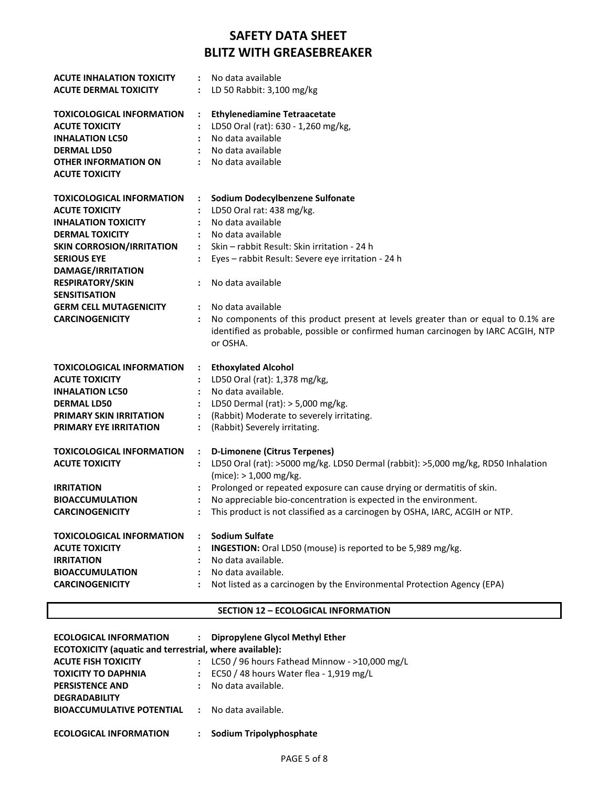| <b>ACUTE INHALATION TOXICITY</b><br><b>ACUTE DERMAL TOXICITY</b> | No data available<br>LD 50 Rabbit: 3,100 mg/kg                                                            |
|------------------------------------------------------------------|-----------------------------------------------------------------------------------------------------------|
|                                                                  |                                                                                                           |
| <b>TOXICOLOGICAL INFORMATION</b>                                 | <b>Ethylenediamine Tetraacetate</b><br>$\ddot{\cdot}$                                                     |
| <b>ACUTE TOXICITY</b>                                            | LD50 Oral (rat): 630 - 1,260 mg/kg,                                                                       |
| <b>INHALATION LC50</b>                                           | No data available<br>$\ddot{\phantom{a}}$                                                                 |
| <b>DERMAL LD50</b>                                               | No data available                                                                                         |
| OTHER INFORMATION ON                                             | No data available                                                                                         |
| <b>ACUTE TOXICITY</b>                                            |                                                                                                           |
| <b>TOXICOLOGICAL INFORMATION</b>                                 | Sodium Dodecylbenzene Sulfonate                                                                           |
| <b>ACUTE TOXICITY</b>                                            | LD50 Oral rat: 438 mg/kg.                                                                                 |
| <b>INHALATION TOXICITY</b>                                       | No data available<br>$\ddot{\phantom{a}}$                                                                 |
| <b>DERMAL TOXICITY</b>                                           | No data available                                                                                         |
| <b>SKIN CORROSION/IRRITATION</b>                                 | Skin - rabbit Result: Skin irritation - 24 h<br>$\ddot{\phantom{a}}$                                      |
| <b>SERIOUS EYE</b>                                               | Eyes - rabbit Result: Severe eye irritation - 24 h<br>$\ddot{\phantom{a}}$                                |
| DAMAGE/IRRITATION                                                |                                                                                                           |
| <b>RESPIRATORY/SKIN</b>                                          | No data available                                                                                         |
| <b>SENSITISATION</b>                                             |                                                                                                           |
| <b>GERM CELL MUTAGENICITY</b>                                    | No data available<br>$\ddot{\phantom{0}}$                                                                 |
| <b>CARCINOGENICITY</b>                                           | No components of this product present at levels greater than or equal to 0.1% are<br>$\ddot{\phantom{a}}$ |
|                                                                  | identified as probable, possible or confirmed human carcinogen by IARC ACGIH, NTP                         |
|                                                                  | or OSHA.                                                                                                  |
| <b>TOXICOLOGICAL INFORMATION</b>                                 | <b>Ethoxylated Alcohol</b><br>$\ddot{\cdot}$                                                              |
| <b>ACUTE TOXICITY</b>                                            | LD50 Oral (rat): 1,378 mg/kg,                                                                             |
| <b>INHALATION LC50</b>                                           | No data available.                                                                                        |
| <b>DERMAL LD50</b>                                               | LD50 Dermal (rat): > 5,000 mg/kg.<br>$\ddot{\phantom{a}}$                                                 |
| <b>PRIMARY SKIN IRRITATION</b>                                   |                                                                                                           |
|                                                                  | (Rabbit) Moderate to severely irritating.                                                                 |
| <b>PRIMARY EYE IRRITATION</b>                                    | (Rabbit) Severely irritating.<br>$\ddot{\phantom{a}}$                                                     |
| <b>TOXICOLOGICAL INFORMATION</b>                                 | <b>D-Limonene (Citrus Terpenes)</b><br>$\ddot{\cdot}$                                                     |
| <b>ACUTE TOXICITY</b>                                            | LD50 Oral (rat): >5000 mg/kg. LD50 Dermal (rabbit): >5,000 mg/kg, RD50 Inhalation                         |
|                                                                  | (mice): > 1,000 mg/kg.                                                                                    |
| <b>IRRITATION</b>                                                | Prolonged or repeated exposure can cause drying or dermatitis of skin.                                    |
| <b>BIOACCUMULATION</b>                                           | No appreciable bio-concentration is expected in the environment.<br>$\ddot{\phantom{a}}$                  |
| <b>CARCINOGENICITY</b>                                           | This product is not classified as a carcinogen by OSHA, IARC, ACGIH or NTP.<br>$\ddot{\cdot}$             |
| <b>TOXICOLOGICAL INFORMATION</b>                                 | <b>Sodium Sulfate</b><br>$\ddot{\phantom{a}}$                                                             |
| <b>ACUTE TOXICITY</b>                                            |                                                                                                           |
|                                                                  | INGESTION: Oral LD50 (mouse) is reported to be 5,989 mg/kg.<br>No data available.                         |
| <b>IRRITATION</b><br><b>BIOACCUMULATION</b>                      | No data available.<br>$\mathbf{L}$                                                                        |
| <b>CARCINOGENICITY</b>                                           | Not listed as a carcinogen by the Environmental Protection Agency (EPA)<br>$\ddot{\phantom{a}}$           |

### **SECTION 12 – ECOLOGICAL INFORMATION**

| <b>ECOLOGICAL INFORMATION</b>                                  |                      | : Dipropylene Glycol Methyl Ether                |  |  |
|----------------------------------------------------------------|----------------------|--------------------------------------------------|--|--|
| <b>ECOTOXICITY (aquatic and terrestrial, where available):</b> |                      |                                                  |  |  |
| <b>ACUTE FISH TOXICITY</b>                                     |                      | LC50 / 96 hours Fathead Minnow - $>$ 10,000 mg/L |  |  |
| <b>TOXICITY TO DAPHNIA</b>                                     |                      | : EC50 / 48 hours Water flea - 1,919 mg/L        |  |  |
| <b>PERSISTENCE AND</b>                                         | $\ddot{\phantom{a}}$ | No data available.                               |  |  |
| <b>DEGRADABILITY</b>                                           |                      |                                                  |  |  |
| <b>BIOACCUMULATIVE POTENTIAL : No data available.</b>          |                      |                                                  |  |  |
|                                                                |                      |                                                  |  |  |
| <b>ECOLOGICAL INFORMATION</b>                                  |                      | Sodium Tripolyphosphate                          |  |  |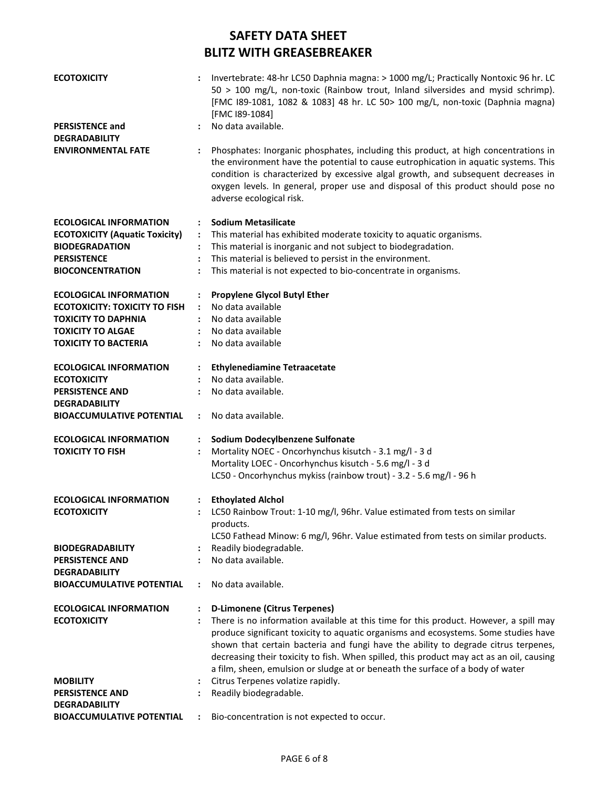| <b>ECOTOXICITY</b><br><b>PERSISTENCE and</b>             | $\ddot{\phantom{a}}$ | Invertebrate: 48-hr LC50 Daphnia magna: > 1000 mg/L; Practically Nontoxic 96 hr. LC<br>50 > 100 mg/L, non-toxic (Rainbow trout, Inland silversides and mysid schrimp).<br>[FMC I89-1081, 1082 & 1083] 48 hr. LC 50> 100 mg/L, non-toxic (Daphnia magna)<br>[FMC I89-1084]<br>No data available.                                                                                                                                                  |
|----------------------------------------------------------|----------------------|--------------------------------------------------------------------------------------------------------------------------------------------------------------------------------------------------------------------------------------------------------------------------------------------------------------------------------------------------------------------------------------------------------------------------------------------------|
| <b>DEGRADABILITY</b>                                     |                      |                                                                                                                                                                                                                                                                                                                                                                                                                                                  |
| <b>ENVIRONMENTAL FATE</b>                                | $\ddot{\cdot}$       | Phosphates: Inorganic phosphates, including this product, at high concentrations in<br>the environment have the potential to cause eutrophication in aquatic systems. This<br>condition is characterized by excessive algal growth, and subsequent decreases in<br>oxygen levels. In general, proper use and disposal of this product should pose no<br>adverse ecological risk.                                                                 |
| <b>ECOLOGICAL INFORMATION</b>                            | $\ddot{\phantom{a}}$ | <b>Sodium Metasilicate</b>                                                                                                                                                                                                                                                                                                                                                                                                                       |
| <b>ECOTOXICITY (Aquatic Toxicity)</b>                    | $\ddot{\phantom{a}}$ | This material has exhibited moderate toxicity to aquatic organisms.                                                                                                                                                                                                                                                                                                                                                                              |
| <b>BIODEGRADATION</b>                                    | $\ddot{\cdot}$       | This material is inorganic and not subject to biodegradation.                                                                                                                                                                                                                                                                                                                                                                                    |
| <b>PERSISTENCE</b>                                       | $\ddot{\cdot}$       | This material is believed to persist in the environment.                                                                                                                                                                                                                                                                                                                                                                                         |
| <b>BIOCONCENTRATION</b>                                  | $\ddot{\cdot}$       | This material is not expected to bio-concentrate in organisms.                                                                                                                                                                                                                                                                                                                                                                                   |
| <b>ECOLOGICAL INFORMATION</b>                            | $\ddot{\cdot}$       | <b>Propylene Glycol Butyl Ether</b>                                                                                                                                                                                                                                                                                                                                                                                                              |
| <b>ECOTOXICITY: TOXICITY TO FISH</b>                     | $\mathbf{L}$         | No data available                                                                                                                                                                                                                                                                                                                                                                                                                                |
| <b>TOXICITY TO DAPHNIA</b>                               |                      | No data available                                                                                                                                                                                                                                                                                                                                                                                                                                |
| <b>TOXICITY TO ALGAE</b>                                 |                      | No data available                                                                                                                                                                                                                                                                                                                                                                                                                                |
| <b>TOXICITY TO BACTERIA</b>                              | $\mathbf{r}$         | No data available                                                                                                                                                                                                                                                                                                                                                                                                                                |
| <b>ECOLOGICAL INFORMATION</b>                            |                      | <b>Ethylenediamine Tetraacetate</b>                                                                                                                                                                                                                                                                                                                                                                                                              |
| <b>ECOTOXICITY</b>                                       |                      | No data available.                                                                                                                                                                                                                                                                                                                                                                                                                               |
| <b>PERSISTENCE AND</b>                                   |                      | No data available.                                                                                                                                                                                                                                                                                                                                                                                                                               |
| <b>DEGRADABILITY</b><br><b>BIOACCUMULATIVE POTENTIAL</b> | $\ddot{\phantom{a}}$ | No data available.                                                                                                                                                                                                                                                                                                                                                                                                                               |
| <b>ECOLOGICAL INFORMATION</b>                            |                      | Sodium Dodecylbenzene Sulfonate                                                                                                                                                                                                                                                                                                                                                                                                                  |
| <b>TOXICITY TO FISH</b>                                  |                      | Mortality NOEC - Oncorhynchus kisutch - 3.1 mg/l - 3 d                                                                                                                                                                                                                                                                                                                                                                                           |
|                                                          |                      | Mortality LOEC - Oncorhynchus kisutch - 5.6 mg/l - 3 d                                                                                                                                                                                                                                                                                                                                                                                           |
|                                                          |                      | LC50 - Oncorhynchus mykiss (rainbow trout) - 3.2 - 5.6 mg/l - 96 h                                                                                                                                                                                                                                                                                                                                                                               |
| <b>ECOLOGICAL INFORMATION</b>                            |                      | <b>Ethoylated Alchol</b>                                                                                                                                                                                                                                                                                                                                                                                                                         |
| <b>ECOTOXICITY</b>                                       |                      | LC50 Rainbow Trout: 1-10 mg/l, 96hr. Value estimated from tests on similar                                                                                                                                                                                                                                                                                                                                                                       |
|                                                          |                      | products.                                                                                                                                                                                                                                                                                                                                                                                                                                        |
|                                                          |                      | LC50 Fathead Minow: 6 mg/l, 96hr. Value estimated from tests on similar products.                                                                                                                                                                                                                                                                                                                                                                |
| <b>BIODEGRADABILITY</b>                                  |                      | Readily biodegradable.                                                                                                                                                                                                                                                                                                                                                                                                                           |
| <b>PERSISTENCE AND</b><br><b>DEGRADABILITY</b>           |                      | No data available.                                                                                                                                                                                                                                                                                                                                                                                                                               |
| <b>BIOACCUMULATIVE POTENTIAL</b>                         |                      | No data available.                                                                                                                                                                                                                                                                                                                                                                                                                               |
| <b>ECOLOGICAL INFORMATION</b>                            | $\ddot{\cdot}$       | <b>D-Limonene (Citrus Terpenes)</b>                                                                                                                                                                                                                                                                                                                                                                                                              |
| <b>ECOTOXICITY</b>                                       |                      | There is no information available at this time for this product. However, a spill may<br>produce significant toxicity to aquatic organisms and ecosystems. Some studies have<br>shown that certain bacteria and fungi have the ability to degrade citrus terpenes,<br>decreasing their toxicity to fish. When spilled, this product may act as an oil, causing<br>a film, sheen, emulsion or sludge at or beneath the surface of a body of water |
| <b>MOBILITY</b>                                          |                      | Citrus Terpenes volatize rapidly.                                                                                                                                                                                                                                                                                                                                                                                                                |
| <b>PERSISTENCE AND</b>                                   |                      | Readily biodegradable.                                                                                                                                                                                                                                                                                                                                                                                                                           |
| <b>DEGRADABILITY</b>                                     |                      |                                                                                                                                                                                                                                                                                                                                                                                                                                                  |
| <b>BIOACCUMULATIVE POTENTIAL</b>                         |                      | Bio-concentration is not expected to occur.                                                                                                                                                                                                                                                                                                                                                                                                      |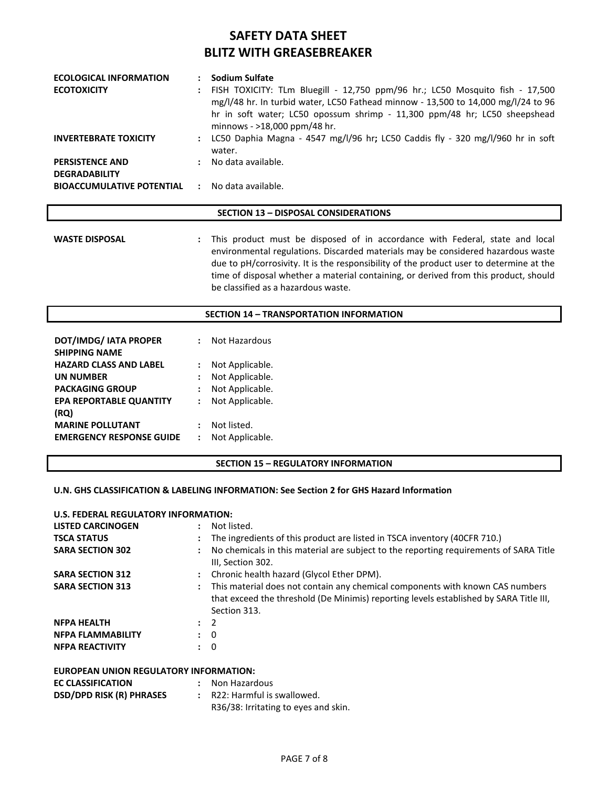| <b>ECOLOGICAL INFORMATION</b>                         | Sodium Sulfate                                                                                                                                                                                                                                                                   |
|-------------------------------------------------------|----------------------------------------------------------------------------------------------------------------------------------------------------------------------------------------------------------------------------------------------------------------------------------|
| <b>ECOTOXICITY</b>                                    | : FISH TOXICITY: TLm Bluegill - 12,750 ppm/96 hr.; LC50 Mosquito fish - 17,500<br>mg/l/48 hr. In turbid water, LC50 Fathead minnow - 13,500 to 14,000 mg/l/24 to 96<br>hr in soft water; LC50 opossum shrimp - 11,300 ppm/48 hr; LC50 sheepshead<br>minnows - >18,000 ppm/48 hr. |
| <b>INVERTEBRATE TOXICITY</b>                          | : LC50 Daphia Magna - 4547 mg/l/96 hr; LC50 Caddis fly - 320 mg/l/960 hr in soft<br>water.                                                                                                                                                                                       |
| <b>PERSISTENCE AND</b><br><b>DEGRADABILITY</b>        | : No data available.                                                                                                                                                                                                                                                             |
| <b>BIOACCUMULATIVE POTENTIAL : No data available.</b> |                                                                                                                                                                                                                                                                                  |

#### **SECTION 13 – DISPOSAL CONSIDERATIONS**

**SECTION 14 – TRANSPORTATION INFORMATION**

**WASTE DISPOSAL :** This product must be disposed of in accordance with Federal, state and local environmental regulations. Discarded materials may be considered hazardous waste due to pH/corrosivity. It is the responsibility of the product user to determine at the time of disposal whether a material containing, or derived from this product, should be classified as a hazardous waste.

| <b>DOT/IMDG/ IATA PROPER</b><br><b>SHIPPING NAME</b> |                      | Not Hazardous   |
|------------------------------------------------------|----------------------|-----------------|
| <b>HAZARD CLASS AND LABEL</b>                        |                      | Not Applicable. |
| <b>UN NUMBER</b>                                     |                      | Not Applicable. |
| <b>PACKAGING GROUP</b>                               | ÷                    | Not Applicable. |
| <b>EPA REPORTABLE QUANTITY</b>                       | $\ddot{\phantom{a}}$ | Not Applicable. |
| (RO)                                                 |                      |                 |
| <b>MARINE POLLUTANT</b>                              |                      | Not listed.     |
| <b>EMERGENCY RESPONSE GUIDE</b>                      |                      | Not Applicable. |

# **SECTION 15 – REGULATORY INFORMATION**

#### **U.N. GHS CLASSIFICATION & LABELING INFORMATION: See Section 2 for GHS Hazard Information**

#### **U.S. FEDERAL REGULATORY INFORMATION:**

| <b>LISTED CARCINOGEN</b> | Not listed.<br>$\ddot{\phantom{a}}$                                                                                                                                                     |
|--------------------------|-----------------------------------------------------------------------------------------------------------------------------------------------------------------------------------------|
| <b>TSCA STATUS</b>       | The ingredients of this product are listed in TSCA inventory (40CFR 710.)                                                                                                               |
| <b>SARA SECTION 302</b>  | : No chemicals in this material are subject to the reporting requirements of SARA Title<br>III, Section 302.                                                                            |
| <b>SARA SECTION 312</b>  | : Chronic health hazard (Glycol Ether DPM).                                                                                                                                             |
| <b>SARA SECTION 313</b>  | This material does not contain any chemical components with known CAS numbers<br>that exceed the threshold (De Minimis) reporting levels established by SARA Title III,<br>Section 313. |
| <b>NFPA HEALTH</b>       | $\therefore$ 2                                                                                                                                                                          |
| <b>NFPA FLAMMABILITY</b> | $\colon 0$                                                                                                                                                                              |
| <b>NFPA REACTIVITY</b>   | $\colon 0$                                                                                                                                                                              |
|                          |                                                                                                                                                                                         |

### **EUROPEAN UNION REGULATORY INFORMATION:**

| <b>EC CLASSIFICATION</b>        | : Non Hazardous                      |
|---------------------------------|--------------------------------------|
| <b>DSD/DPD RISK (R) PHRASES</b> | : R22: Harmful is swallowed.         |
|                                 | R36/38: Irritating to eyes and skin. |